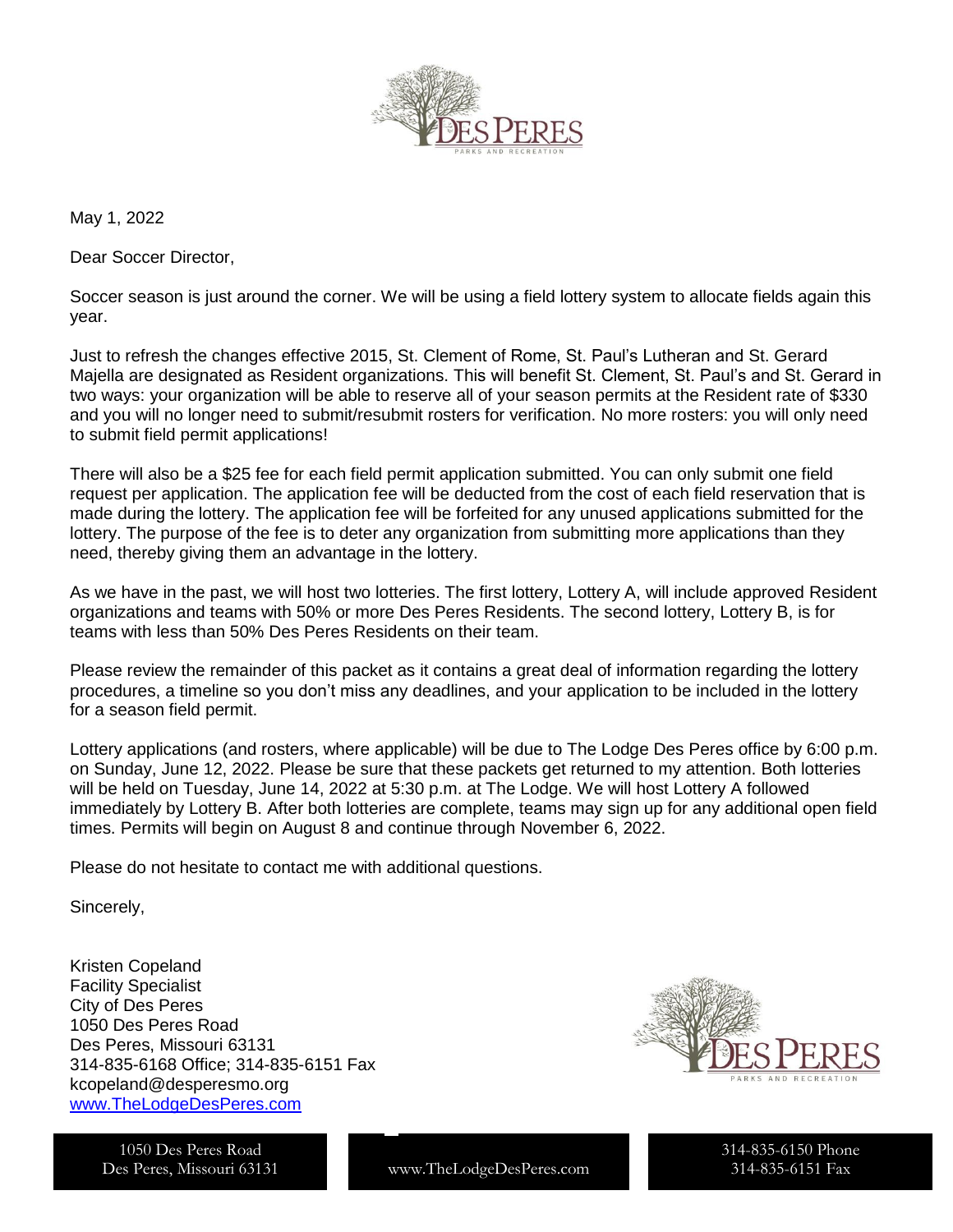

May 1, 2022

Dear Soccer Director,

Soccer season is just around the corner. We will be using a field lottery system to allocate fields again this year.

Just to refresh the changes effective 2015, St. Clement of Rome, St. Paul's Lutheran and St. Gerard Majella are designated as Resident organizations. This will benefit St. Clement, St. Paul's and St. Gerard in two ways: your organization will be able to reserve all of your season permits at the Resident rate of \$330 and you will no longer need to submit/resubmit rosters for verification. No more rosters: you will only need to submit field permit applications!

There will also be a \$25 fee for each field permit application submitted. You can only submit one field request per application. The application fee will be deducted from the cost of each field reservation that is made during the lottery. The application fee will be forfeited for any unused applications submitted for the lottery. The purpose of the fee is to deter any organization from submitting more applications than they need, thereby giving them an advantage in the lottery.

As we have in the past, we will host two lotteries. The first lottery, Lottery A, will include approved Resident organizations and teams with 50% or more Des Peres Residents. The second lottery, Lottery B, is for teams with less than 50% Des Peres Residents on their team.

Please review the remainder of this packet as it contains a great deal of information regarding the lottery procedures, a timeline so you don't miss any deadlines, and your application to be included in the lottery for a season field permit.

Lottery applications (and rosters, where applicable) will be due to The Lodge Des Peres office by 6:00 p.m. on Sunday, June 12, 2022. Please be sure that these packets get returned to my attention. Both lotteries will be held on Tuesday, June 14, 2022 at 5:30 p.m. at The Lodge. We will host Lottery A followed immediately by Lottery B. After both lotteries are complete, teams may sign up for any additional open field times. Permits will begin on August 8 and continue through November 6, 2022.

Please do not hesitate to contact me with additional questions.

Sincerely,

Kristen Copeland Facility Specialist City of Des Peres 1050 Des Peres Road Des Peres, Missouri 63131 314-835-6168 Office; 314-835-6151 Fax kcopeland@desperesmo.org [www.TheLodgeDesPeres.com](http://www.thelodgedesperes.com/)





www.TheLodgeDesPeres.com

314-835-6150 Phone 314-835-6151 Fax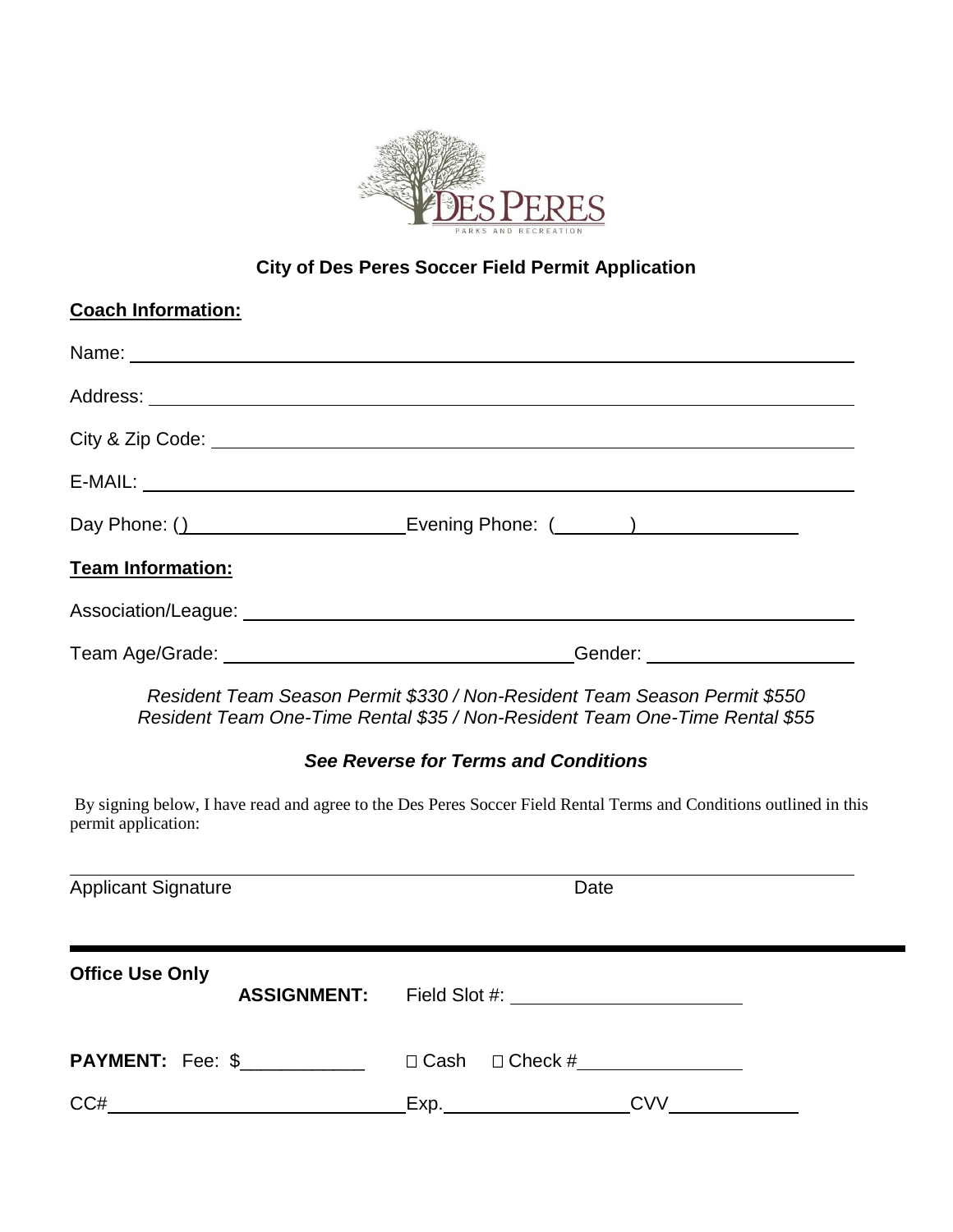

## **City of Des Peres Soccer Field Permit Application**

| <b>Coach Information:</b>  |                                                                                                                                                          |
|----------------------------|----------------------------------------------------------------------------------------------------------------------------------------------------------|
|                            |                                                                                                                                                          |
|                            |                                                                                                                                                          |
|                            |                                                                                                                                                          |
|                            |                                                                                                                                                          |
|                            | Day Phone: () ________________________________Evening Phone: (_______) ________________                                                                  |
| <b>Team Information:</b>   |                                                                                                                                                          |
|                            |                                                                                                                                                          |
|                            |                                                                                                                                                          |
|                            | Resident Team Season Permit \$330 / Non-Resident Team Season Permit \$550<br>Resident Team One-Time Rental \$35 / Non-Resident Team One-Time Rental \$55 |
|                            | See Reverse for Terms and Conditions                                                                                                                     |
| permit application:        | By signing below, I have read and agree to the Des Peres Soccer Field Rental Terms and Conditions outlined in this                                       |
| <b>Applicant Signature</b> | Date                                                                                                                                                     |
| <b>Office Use Only</b>     |                                                                                                                                                          |
|                            | <b>ASSIGNMENT:</b>                                                                                                                                       |
| <b>PAYMENT:</b> Fee: \$    | □ Cash<br>$\Box$ Check #                                                                                                                                 |

CC# Exp. CVV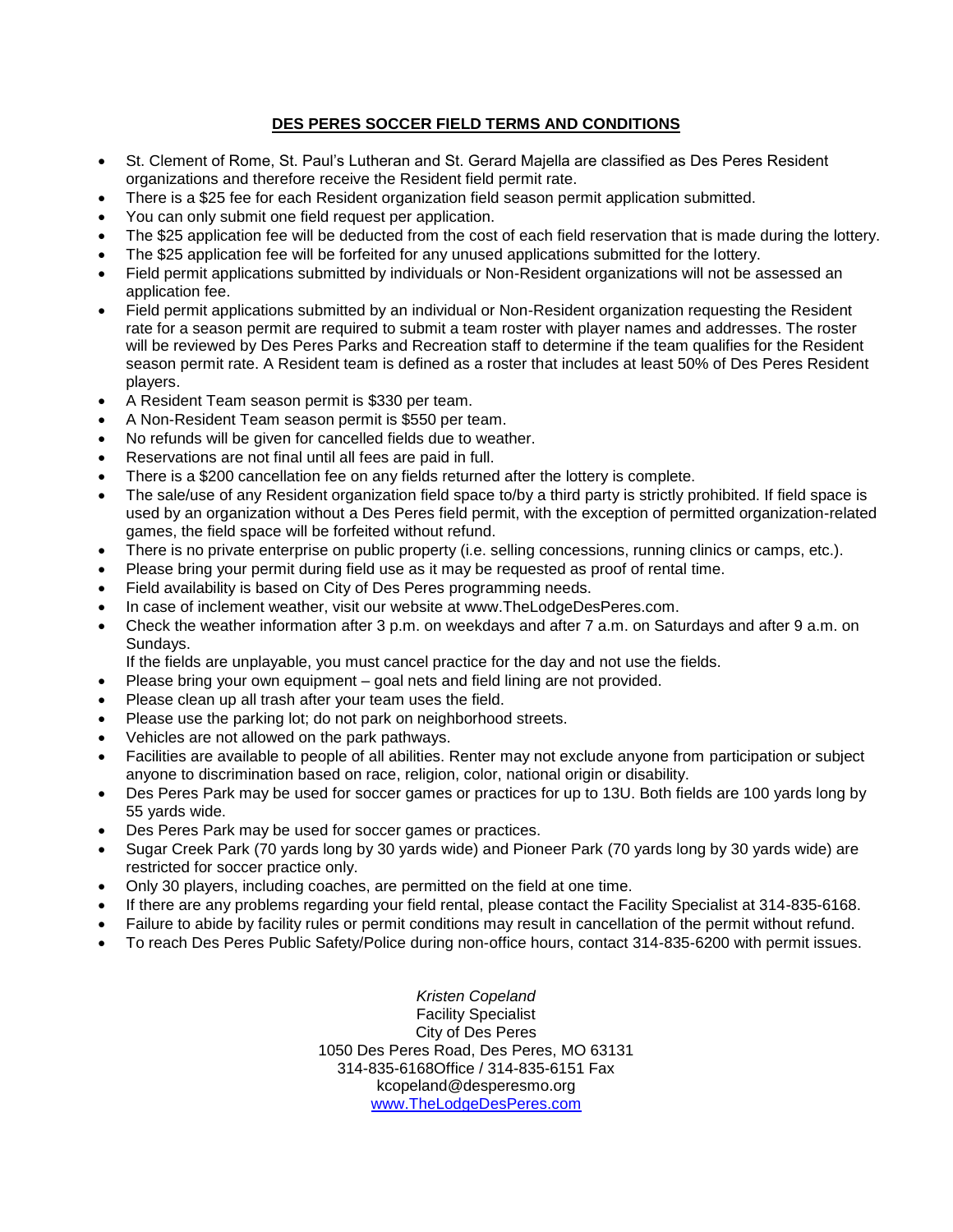## **DES PERES SOCCER FIELD TERMS AND CONDITIONS**

- St. Clement of Rome, St. Paul's Lutheran and St. Gerard Majella are classified as Des Peres Resident organizations and therefore receive the Resident field permit rate.
- There is a \$25 fee for each Resident organization field season permit application submitted.
- You can only submit one field request per application.
- The \$25 application fee will be deducted from the cost of each field reservation that is made during the lottery.
- The \$25 application fee will be forfeited for any unused applications submitted for the lottery.
- Field permit applications submitted by individuals or Non-Resident organizations will not be assessed an application fee.
- Field permit applications submitted by an individual or Non-Resident organization requesting the Resident rate for a season permit are required to submit a team roster with player names and addresses. The roster will be reviewed by Des Peres Parks and Recreation staff to determine if the team qualifies for the Resident season permit rate. A Resident team is defined as a roster that includes at least 50% of Des Peres Resident players.
- A Resident Team season permit is \$330 per team.
- A Non-Resident Team season permit is \$550 per team.
- No refunds will be given for cancelled fields due to weather.
- Reservations are not final until all fees are paid in full.
- There is a \$200 cancellation fee on any fields returned after the lottery is complete.
- The sale/use of any Resident organization field space to/by a third party is strictly prohibited. If field space is used by an organization without a Des Peres field permit, with the exception of permitted organization-related games, the field space will be forfeited without refund.
- There is no private enterprise on public property (i.e. selling concessions, running clinics or camps, etc.).
- Please bring your permit during field use as it may be requested as proof of rental time.
- Field availability is based on City of Des Peres programming needs.
- In case of inclement weather, visit our website at www.TheLodgeDesPeres.com.
- Check the weather information after 3 p.m. on weekdays and after 7 a.m. on Saturdays and after 9 a.m. on Sundays.
	- If the fields are unplayable, you must cancel practice for the day and not use the fields.
- Please bring your own equipment goal nets and field lining are not provided.
- Please clean up all trash after your team uses the field.
- Please use the parking lot; do not park on neighborhood streets.
- Vehicles are not allowed on the park pathways.
- Facilities are available to people of all abilities. Renter may not exclude anyone from participation or subject anyone to discrimination based on race, religion, color, national origin or disability.
- Des Peres Park may be used for soccer games or practices for up to 13U. Both fields are 100 yards long by 55 yards wide.
- Des Peres Park may be used for soccer games or practices.
- Sugar Creek Park (70 yards long by 30 yards wide) and Pioneer Park (70 yards long by 30 yards wide) are restricted for soccer practice only.
- Only 30 players, including coaches, are permitted on the field at one time.
- If there are any problems regarding your field rental, please contact the Facility Specialist at 314-835-6168.
- Failure to abide by facility rules or permit conditions may result in cancellation of the permit without refund.
- To reach Des Peres Public Safety/Police during non-office hours, contact 314-835-6200 with permit issues.

*Kristen Copeland* Facility Specialist City of Des Peres 1050 Des Peres Road, Des Peres, MO 63131 314-835-6168Office / 314-835-6151 Fax kcopeland@desperesmo.org [www.TheLodgeDesPeres.com](http://www.thelodgedesperes.com/)